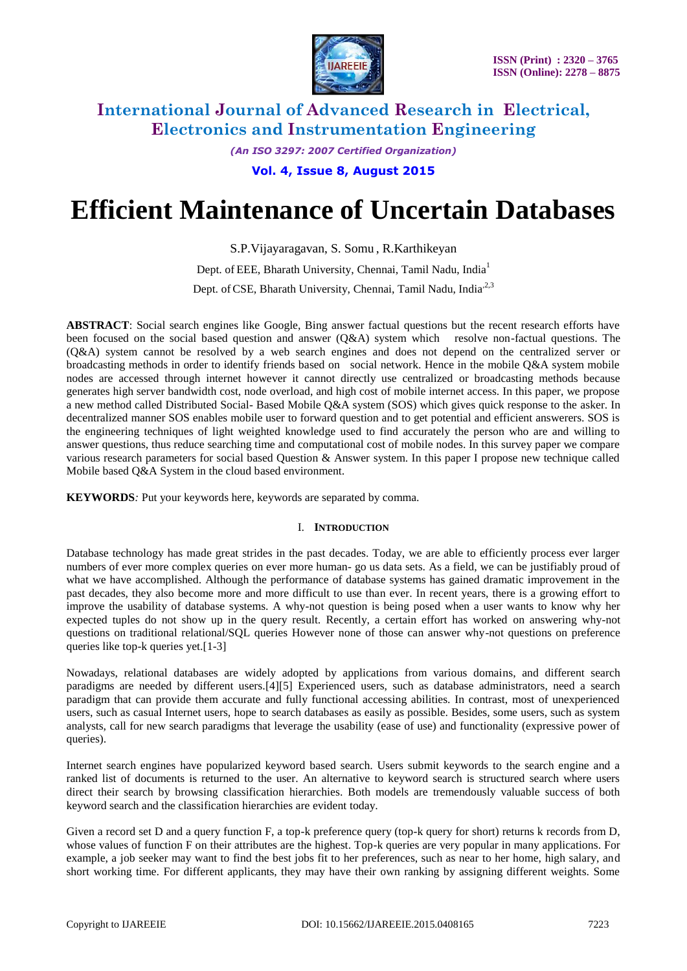

*(An ISO 3297: 2007 Certified Organization)* **Vol. 4, Issue 8, August 2015**

# **Efficient Maintenance of Uncertain Databases**

S.P.Vijayaragavan, S. Somu , R.Karthikeyan

Dept. of EEE, Bharath University, Chennai, Tamil Nadu, India<sup>1</sup> Dept. of CSE, Bharath University, Chennai, Tamil Nadu, India<sup>2,3</sup>

**ABSTRACT**: Social search engines like Google, Bing answer factual questions but the recent research efforts have been focused on the social based question and answer (Q&A) system which resolve non-factual questions. The (Q&A) system cannot be resolved by a web search engines and does not depend on the centralized server or broadcasting methods in order to identify friends based on social network. Hence in the mobile Q&A system mobile nodes are accessed through internet however it cannot directly use centralized or broadcasting methods because generates high server bandwidth cost, node overload, and high cost of mobile internet access. In this paper, we propose a new method called Distributed Social- Based Mobile Q&A system (SOS) which gives quick response to the asker. In decentralized manner SOS enables mobile user to forward question and to get potential and efficient answerers. SOS is the engineering techniques of light weighted knowledge used to find accurately the person who are and willing to answer questions, thus reduce searching time and computational cost of mobile nodes. In this survey paper we compare various research parameters for social based Question & Answer system. In this paper I propose new technique called Mobile based Q&A System in the cloud based environment.

**KEYWORDS***:* Put your keywords here, keywords are separated by comma.

### I. **INTRODUCTION**

Database technology has made great strides in the past decades. Today, we are able to efficiently process ever larger numbers of ever more complex queries on ever more human- go us data sets. As a field, we can be justifiably proud of what we have accomplished. Although the performance of database systems has gained dramatic improvement in the past decades, they also become more and more difficult to use than ever. In recent years, there is a growing effort to improve the usability of database systems. A why-not question is being posed when a user wants to know why her expected tuples do not show up in the query result. Recently, a certain effort has worked on answering why-not questions on traditional relational/SQL queries However none of those can answer why-not questions on preference queries like top-k queries yet.[1-3]

Nowadays, relational databases are widely adopted by applications from various domains, and different search paradigms are needed by different users.[4][5] Experienced users, such as database administrators, need a search paradigm that can provide them accurate and fully functional accessing abilities. In contrast, most of unexperienced users, such as casual Internet users, hope to search databases as easily as possible. Besides, some users, such as system analysts, call for new search paradigms that leverage the usability (ease of use) and functionality (expressive power of queries).

Internet search engines have popularized keyword based search. Users submit keywords to the search engine and a ranked list of documents is returned to the user. An alternative to keyword search is structured search where users direct their search by browsing classification hierarchies. Both models are tremendously valuable success of both keyword search and the classification hierarchies are evident today.

Given a record set D and a query function F, a top-k preference query (top-k query for short) returns k records from D, whose values of function F on their attributes are the highest. Top-k queries are very popular in many applications. For example, a job seeker may want to find the best jobs fit to her preferences, such as near to her home, high salary, and short working time. For different applicants, they may have their own ranking by assigning different weights. Some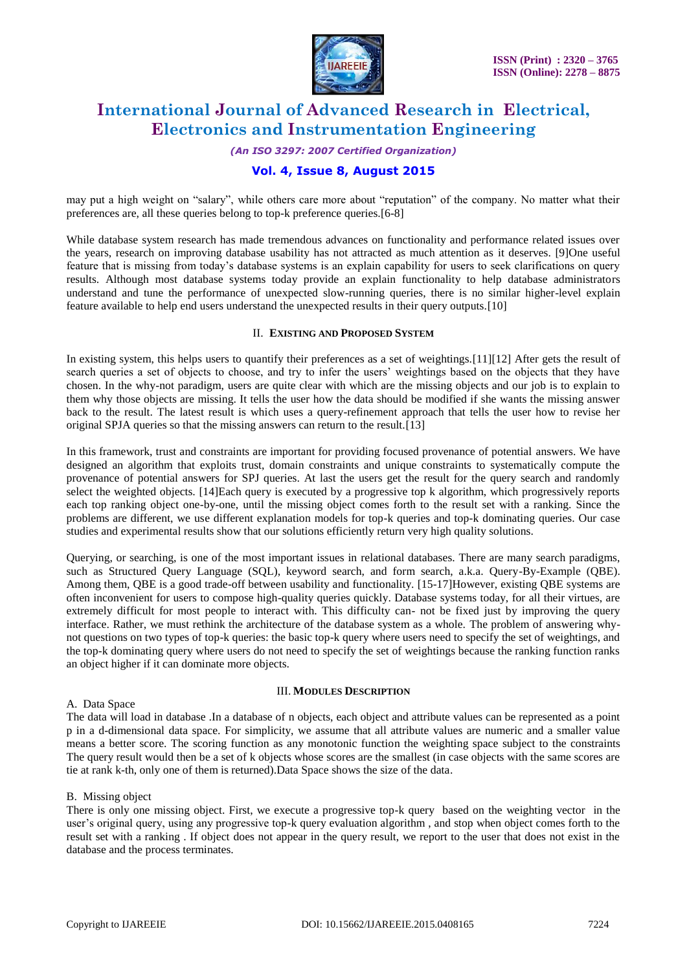

### *(An ISO 3297: 2007 Certified Organization)*

# **Vol. 4, Issue 8, August 2015**

may put a high weight on "salary", while others care more about "reputation" of the company. No matter what their preferences are, all these queries belong to top-k preference queries.[6-8]

While database system research has made tremendous advances on functionality and performance related issues over the years, research on improving database usability has not attracted as much attention as it deserves. [9]One useful feature that is missing from today's database systems is an explain capability for users to seek clarifications on query results. Although most database systems today provide an explain functionality to help database administrators understand and tune the performance of unexpected slow-running queries, there is no similar higher-level explain feature available to help end users understand the unexpected results in their query outputs.[10]

#### II. **EXISTING AND PROPOSED SYSTEM**

In existing system, this helps users to quantify their preferences as a set of weightings.[11][12] After gets the result of search queries a set of objects to choose, and try to infer the users' weightings based on the objects that they have chosen. In the why-not paradigm, users are quite clear with which are the missing objects and our job is to explain to them why those objects are missing. It tells the user how the data should be modified if she wants the missing answer back to the result. The latest result is which uses a query-refinement approach that tells the user how to revise her original SPJA queries so that the missing answers can return to the result.[13]

In this framework, trust and constraints are important for providing focused provenance of potential answers. We have designed an algorithm that exploits trust, domain constraints and unique constraints to systematically compute the provenance of potential answers for SPJ queries. At last the users get the result for the query search and randomly select the weighted objects. [14]Each query is executed by a progressive top k algorithm, which progressively reports each top ranking object one-by-one, until the missing object comes forth to the result set with a ranking. Since the problems are different, we use different explanation models for top-k queries and top-k dominating queries. Our case studies and experimental results show that our solutions efficiently return very high quality solutions.

Querying, or searching, is one of the most important issues in relational databases. There are many search paradigms, such as Structured Query Language (SQL), keyword search, and form search, a.k.a. Query-By-Example (QBE). Among them, QBE is a good trade-off between usability and functionality. [15-17]However, existing QBE systems are often inconvenient for users to compose high-quality queries quickly. Database systems today, for all their virtues, are extremely difficult for most people to interact with. This difficulty can- not be fixed just by improving the query interface. Rather, we must rethink the architecture of the database system as a whole. The problem of answering whynot questions on two types of top-k queries: the basic top-k query where users need to specify the set of weightings, and the top-k dominating query where users do not need to specify the set of weightings because the ranking function ranks an object higher if it can dominate more objects.

#### III. **MODULES DESCRIPTION**

### A. Data Space

The data will load in database .In a database of n objects, each object and attribute values can be represented as a point p in a d-dimensional data space. For simplicity, we assume that all attribute values are numeric and a smaller value means a better score. The scoring function as any monotonic function the weighting space subject to the constraints The query result would then be a set of k objects whose scores are the smallest (in case objects with the same scores are tie at rank k-th, only one of them is returned).Data Space shows the size of the data.

### B. Missing object

There is only one missing object. First, we execute a progressive top-k query based on the weighting vector in the user's original query, using any progressive top-k query evaluation algorithm , and stop when object comes forth to the result set with a ranking . If object does not appear in the query result, we report to the user that does not exist in the database and the process terminates.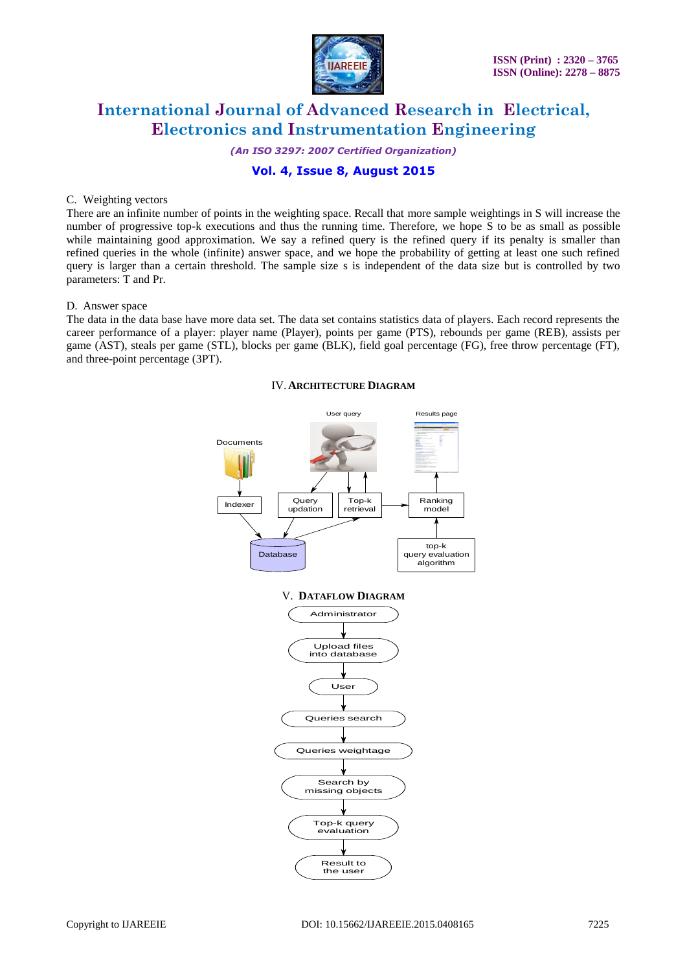

*(An ISO 3297: 2007 Certified Organization)*

# **Vol. 4, Issue 8, August 2015**

#### C. Weighting vectors

There are an infinite number of points in the weighting space. Recall that more sample weightings in S will increase the number of progressive top-k executions and thus the running time. Therefore, we hope S to be as small as possible while maintaining good approximation. We say a refined query is the refined query if its penalty is smaller than refined queries in the whole (infinite) answer space, and we hope the probability of getting at least one such refined query is larger than a certain threshold. The sample size s is independent of the data size but is controlled by two parameters: T and Pr.

### D. Answer space

The data in the data base have more data set. The data set contains statistics data of players. Each record represents the career performance of a player: player name (Player), points per game (PTS), rebounds per game (REB), assists per game (AST), steals per game (STL), blocks per game (BLK), field goal percentage (FG), free throw percentage (FT), and three-point percentage (3PT).

## IV.**ARCHITECTURE DIAGRAM**

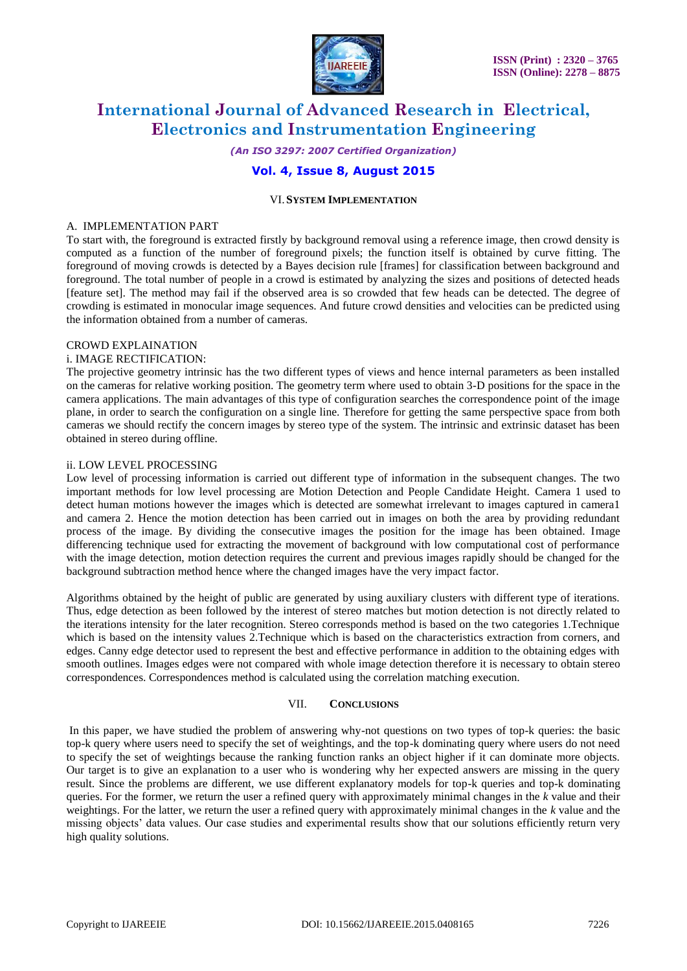

*(An ISO 3297: 2007 Certified Organization)*

# **Vol. 4, Issue 8, August 2015**

#### VI.**SYSTEM IMPLEMENTATION**

#### A. IMPLEMENTATION PART

To start with, the foreground is extracted firstly by background removal using a reference image, then crowd density is computed as a function of the number of foreground pixels; the function itself is obtained by curve fitting. The foreground of moving crowds is detected by a Bayes decision rule [frames] for classification between background and foreground. The total number of people in a crowd is estimated by analyzing the sizes and positions of detected heads [feature set]. The method may fail if the observed area is so crowded that few heads can be detected. The degree of crowding is estimated in monocular image sequences. And future crowd densities and velocities can be predicted using the information obtained from a number of cameras.

### CROWD EXPLAINATION

#### i. IMAGE RECTIFICATION:

The projective geometry intrinsic has the two different types of views and hence internal parameters as been installed on the cameras for relative working position. The geometry term where used to obtain 3-D positions for the space in the camera applications. The main advantages of this type of configuration searches the correspondence point of the image plane, in order to search the configuration on a single line. Therefore for getting the same perspective space from both cameras we should rectify the concern images by stereo type of the system. The intrinsic and extrinsic dataset has been obtained in stereo during offline.

#### ii. LOW LEVEL PROCESSING

Low level of processing information is carried out different type of information in the subsequent changes. The two important methods for low level processing are Motion Detection and People Candidate Height. Camera 1 used to detect human motions however the images which is detected are somewhat irrelevant to images captured in camera1 and camera 2. Hence the motion detection has been carried out in images on both the area by providing redundant process of the image. By dividing the consecutive images the position for the image has been obtained. Image differencing technique used for extracting the movement of background with low computational cost of performance with the image detection, motion detection requires the current and previous images rapidly should be changed for the background subtraction method hence where the changed images have the very impact factor.

Algorithms obtained by the height of public are generated by using auxiliary clusters with different type of iterations. Thus, edge detection as been followed by the interest of stereo matches but motion detection is not directly related to the iterations intensity for the later recognition. Stereo corresponds method is based on the two categories 1.Technique which is based on the intensity values 2.Technique which is based on the characteristics extraction from corners, and edges. Canny edge detector used to represent the best and effective performance in addition to the obtaining edges with smooth outlines. Images edges were not compared with whole image detection therefore it is necessary to obtain stereo correspondences. Correspondences method is calculated using the correlation matching execution.

#### VII. **CONCLUSIONS**

In this paper, we have studied the problem of answering why-not questions on two types of top-k queries: the basic top-k query where users need to specify the set of weightings, and the top-k dominating query where users do not need to specify the set of weightings because the ranking function ranks an object higher if it can dominate more objects. Our target is to give an explanation to a user who is wondering why her expected answers are missing in the query result. Since the problems are different, we use different explanatory models for top-k queries and top-k dominating queries. For the former, we return the user a refined query with approximately minimal changes in the *k* value and their weightings. For the latter, we return the user a refined query with approximately minimal changes in the *k* value and the missing objects' data values. Our case studies and experimental results show that our solutions efficiently return very high quality solutions.